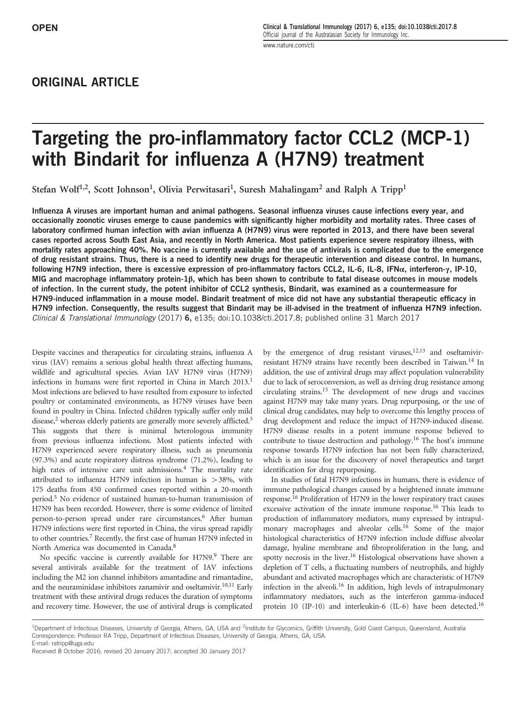# ORIGINAL ARTICLE

# Targeting the pro-inflammatory factor CCL2 (MCP-1) with Bindarit for influenza A (H7N9) treatment

Stefan Wolf<sup>1,2</sup>, Scott Johnson<sup>1</sup>, Olivia Perwitasari<sup>1</sup>, Suresh Mahalingam<sup>2</sup> and Ralph A Tripp<sup>1</sup>

Influenza A viruses are important human and animal pathogens. Seasonal influenza viruses cause infections every year, and occasionally zoonotic viruses emerge to cause pandemics with significantly higher morbidity and mortality rates. Three cases of laboratory confirmed human infection with avian influenza A (H7N9) virus were reported in 2013, and there have been several cases reported across South East Asia, and recently in North America. Most patients experience severe respiratory illness, with mortality rates approaching 40%. No vaccine is currently available and the use of antivirals is complicated due to the emergence of drug resistant strains. Thus, there is a need to identify new drugs for therapeutic intervention and disease control. In humans, following H7N9 infection, there is excessive expression of pro-inflammatory factors CCL2, IL-6, IL-8, IFNα, interferon-γ, IP-10, MIG and macrophage inflammatory protein-1β, which has been shown to contribute to fatal disease outcomes in mouse models of infection. In the current study, the potent inhibitor of CCL2 synthesis, Bindarit, was examined as a countermeasure for H7N9-induced inflammation in a mouse model. Bindarit treatment of mice did not have any substantial therapeutic efficacy in H7N9 infection. Consequently, the results suggest that Bindarit may be ill-advised in the treatment of influenza H7N9 infection. Clinical & Translational Immunology (2017) 6, e135; doi:10.1038/cti.2017.8; published online 31 March 2017

Despite vaccines and therapeutics for circulating strains, influenza A virus (IAV) remains a serious global health threat affecting humans, wildlife and agricultural species. Avian IAV H7N9 virus (H7N9) infections in humans were first reported in China in March 2013.<sup>1</sup> Most infections are believed to have resulted from exposure to infected poultry or contaminated environments, as H7N9 viruses have been found in poultry in China. Infected children typically suffer only mild disease,<sup>2</sup> whereas elderly patients are generally more severely afflicted.<sup>3</sup> This suggests that there is minimal heterologous immunity from previous influenza infections. Most patients infected with H7N9 experienced severe respiratory illness, such as pneumonia (97.3%) and acute respiratory distress syndrome (71.2%), leading to high rates of intensive care unit admissions.<sup>4</sup> The mortality rate attributed to influenza H7N9 infection in human is  $>38\%$ , with 175 deaths from 450 confirmed cases reported within a 20-month period.<sup>5</sup> No evidence of sustained human-to-human transmission of H7N9 has been recorded. However, there is some evidence of limited person-to-person spread under rare circumstances.<sup>6</sup> After human H7N9 infections were first reported in China, the virus spread rapidly to other countries.<sup>7</sup> Recently, the first case of human H7N9 infected in North America was documented in Canada.<sup>8</sup>

No specific vaccine is currently available for H7N9.<sup>9</sup> There are several antivirals available for the treatment of IAV infections including the M2 ion channel inhibitors amantadine and rimantadine, and the neuraminidase inhibitors zanamivir and oseltamivir.<sup>10,11</sup> Early treatment with these antiviral drugs reduces the duration of symptoms and recovery time. However, the use of antiviral drugs is complicated

by the emergence of drug resistant viruses, $12,13$  and oseltamivirresistant H7N9 strains have recently been described in Taiwan.<sup>14</sup> In addition, the use of antiviral drugs may affect population vulnerability due to lack of seroconversion, as well as driving drug resistance among circulating strains.<sup>15</sup> The development of new drugs and vaccines against H7N9 may take many years. Drug repurposing, or the use of clinical drug candidates, may help to overcome this lengthy process of drug development and reduce the impact of H7N9-induced disease. H7N9 disease results in a potent immune response believed to contribute to tissue destruction and pathology.<sup>16</sup> The host's immune response towards H7N9 infection has not been fully characterized, which is an issue for the discovery of novel therapeutics and target identification for drug repurposing.

In studies of fatal H7N9 infections in humans, there is evidence of immune pathological changes caused by a heightened innate immune response.<sup>16</sup> Proliferation of H7N9 in the lower respiratory tract causes excessive activation of the innate immune response.<sup>16</sup> This leads to production of inflammatory mediators, many expressed by intrapulmonary macrophages and alveolar cells.<sup>16</sup> Some of the major histological characteristics of H7N9 infection include diffuse alveolar damage, hyaline membrane and fibroproliferation in the lung, and spotty necrosis in the liver.<sup>16</sup> Histological observations have shown a depletion of T cells, a fluctuating numbers of neutrophils, and highly abundant and activated macrophages which are characteristic of H7N9 infection in the alveoli.<sup>16</sup> In addition, high levels of intrapulmonary inflammatory mediators, such as the interferon gamma-induced protein 10 (IP-10) and interleukin-6 (IL-6) have been detected.<sup>16</sup>

<sup>&</sup>lt;sup>1</sup>Department of Infectious Diseases, University of Georgia, Athens, GA, USA and <sup>2</sup>Institute for Glycomics, Griffith University, Gold Coast Campus, Queensland, Australia Correspondence: Professor RA Tripp, Department of Infectious Diseases, University of Georgia, Athens, GA, USA. E-mail: ratripp@uga.edu

Received 8 October 2016; revised 20 January 2017; accepted 30 January 2017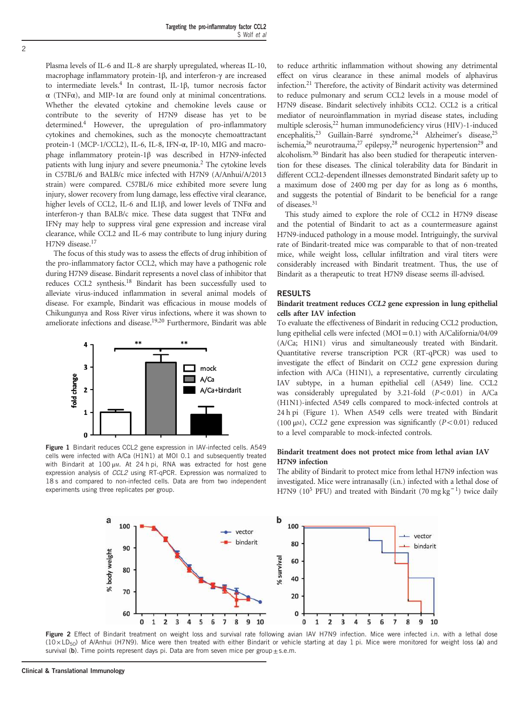Plasma levels of IL-6 and IL-8 are sharply upregulated, whereas IL-10, macrophage inflammatory protein-1β, and interferon-γ are increased to intermediate levels.<sup>4</sup> In contrast, IL-1β, tumor necrosis factor  $\alpha$  (TNF $\alpha$ ), and MIP-1 $\alpha$  are found only at minimal concentrations. Whether the elevated cytokine and chemokine levels cause or contribute to the severity of H7N9 disease has yet to be determined.<sup>4</sup> However, the upregulation of pro-inflammatory cytokines and chemokines, such as the monocyte chemoattractant protein-1 (MCP-1/CCL2), IL-6, IL-8, IFN-α, IP-10, MIG and macrophage inflammatory protein-1β was described in H7N9-infected patients with lung injury and severe pneumonia.<sup>2</sup> The cytokine levels in C57BL/6 and BALB/c mice infected with H7N9 (A/Anhui/A/2013 strain) were compared. C57BL/6 mice exhibited more severe lung injury, slower recovery from lung damage, less effective viral clearance, higher levels of CCL2, IL-6 and IL1β, and lower levels of TNFα and interferon-γ than BALB/c mice. These data suggest that TNFα and IFNγ may help to suppress viral gene expression and increase viral clearance, while CCL2 and IL-6 may contribute to lung injury during H7N9 disease.<sup>17</sup>

The focus of this study was to assess the effects of drug inhibition of the pro-inflammatory factor CCL2, which may have a pathogenic role during H7N9 disease. Bindarit represents a novel class of inhibitor that reduces CCL2 synthesis.<sup>18</sup> Bindarit has been successfully used to alleviate virus-induced inflammation in several animal models of disease. For example, Bindarit was efficacious in mouse models of Chikungunya and Ross River virus infections, where it was shown to ameliorate infections and disease.19,20 Furthermore, Bindarit was able



Figure 1 Bindarit reduces CCL2 gene expression in IAV-infected cells. A549 cells were infected with A/Ca (H1N1) at MOI 0.1 and subsequently treated with Bindarit at 100 μm. At 24 h pi, RNA was extracted for host gene expression analysis of CCL2 using RT-qPCR. Expression was normalized to 18 s and compared to non-infected cells. Data are from two independent experiments using three replicates per group.

to reduce arthritic inflammation without showing any detrimental effect on virus clearance in these animal models of alphavirus infection.<sup>21</sup> Therefore, the activity of Bindarit activity was determined to reduce pulmonary and serum CCL2 levels in a mouse model of H7N9 disease. Bindarit selectively inhibits CCL2. CCL2 is a critical mediator of neuroinflammation in myriad disease states, including multiple sclerosis,<sup>22</sup> human immunodeficiency virus (HIV)-1-induced encephalitis,<sup>23</sup> Guillain-Barré syndrome,<sup>24</sup> Alzheimer's disease,<sup>25</sup> ischemia,<sup>26</sup> neurotrauma,<sup>27</sup> epilepsy,<sup>28</sup> neurogenic hypertension<sup>29</sup> and alcoholism.<sup>30</sup> Bindarit has also been studied for therapeutic intervention for these diseases. The clinical tolerability data for Bindarit in different CCL2-dependent illnesses demonstrated Bindarit safety up to a maximum dose of 2400 mg per day for as long as 6 months, and suggests the potential of Bindarit to be beneficial for a range of diseases.<sup>31</sup>

This study aimed to explore the role of CCL2 in H7N9 disease and the potential of Bindarit to act as a countermeasure against H7N9-induced pathology in a mouse model. Intriguingly, the survival rate of Bindarit-treated mice was comparable to that of non-treated mice, while weight loss, cellular infiltration and viral titers were considerably increased with Bindarit treatment. Thus, the use of Bindarit as a therapeutic to treat H7N9 disease seems ill-advised.

### RESULTS

#### Bindarit treatment reduces CCL2 gene expression in lung epithelial cells after IAV infection

To evaluate the effectiveness of Bindarit in reducing CCL2 production, lung epithelial cells were infected  $(MOI = 0.1)$  with A/California/04/09 (A/Ca; H1N1) virus and simultaneously treated with Bindarit. Quantitative reverse transcription PCR (RT-qPCR) was used to investigate the effect of Bindarit on CCL2 gene expression during infection with A/Ca (H1N1), a representative, currently circulating IAV subtype, in a human epithelial cell (A549) line. CCL2 was considerably upregulated by  $3.21$ -fold  $(P<0.01)$  in A/Ca (H1N1)-infected A549 cells compared to mock-infected controls at 24 h pi (Figure 1). When A549 cells were treated with Bindarit (100  $\mu$ M), CCL2 gene expression was significantly (P<0.01) reduced to a level comparable to mock-infected controls.

# Bindarit treatment does not protect mice from lethal avian IAV H7N9 infection

The ability of Bindarit to protect mice from lethal H7N9 infection was investigated. Mice were intranasally (i.n.) infected with a lethal dose of H7N9 (10<sup>5</sup> PFU) and treated with Bindarit (70 mg kg<sup>-1</sup>) twice daily



Figure 2 Effect of Bindarit treatment on weight loss and survival rate following avian IAV H7N9 infection. Mice were infected i.n. with a lethal dose (10 × LD50) of A/Anhui (H7N9). Mice were then treated with either Bindarit or vehicle starting at day 1 pi. Mice were monitored for weight loss (a) and survival (b). Time points represent days pi. Data are from seven mice per group $\pm$ s.e.m.

2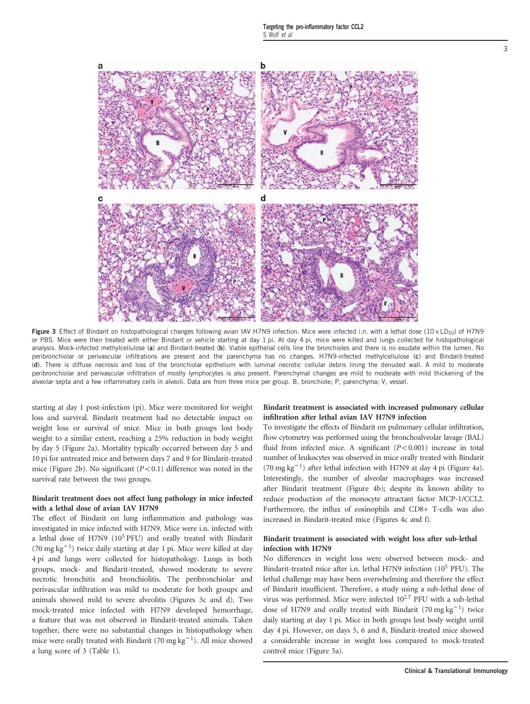

Figure 3 Effect of Bindarit on histopathological changes following avian IAV H7N9 infection. Mice were infected i.n. with a lethal dose  $(10 \times LD_{50})$  of H7N9 or PBS. Mice were then treated with either Bindarit or vehicle starting at day 1 pi. At day 4 pi, mice were killed and lungs collected for histopathological analysis. Mock-infected methylcellulose (a) and Bindarit-treated (b). Viable epithelial cells line the bronchioles and there is no exudate within the lumen. No peribronchiolar or perivascular infiltrations are present and the parenchyma has no changes. H7N9-infected methylcellulose (c) and Bindarit-treated (d). There is diffuse necrosis and loss of the bronchiolar epithelium with luminal necrotic cellular debris lining the denuded wall. A mild to moderate peribronchiolar and perivascular infiltration of mostly lymphocytes is also present. Parenchymal changes are mild to moderate with mild thickening of the alveolar septa and a few inflammatory cells in alveoli. Data are from three mice per group. B, bronchiole; P, parenchyma; V, vessel.

starting at day 1 post-infection (pi). Mice were monitored for weight loss and survival. Bindarit treatment had no detectable impact on weight loss or survival of mice. Mice in both groups lost body weight to a similar extent, reaching a 25% reduction in body weight by day 5 (Figure 2a). Mortality typically occurred between day 5 and 10 pi for untreated mice and between days 7 and 9 for Bindarit-treated mice (Figure 2b). No significant  $(P<0.1)$  difference was noted in the survival rate between the two groups.

# Bindarit treatment does not affect lung pathology in mice infected with a lethal dose of avian IAV H7N9

The effect of Bindarit on lung inflammation and pathology was investigated in mice infected with H7N9. Mice were i.n. infected with a lethal dose of H7N9 (10<sup>5</sup> PFU) and orally treated with Bindarit (70 mg kg<sup>−</sup> <sup>1</sup> ) twice daily starting at day 1 pi. Mice were killed at day 4 pi and lungs were collected for histopathology. Lungs in both groups, mock- and Bindarit-treated, showed moderate to severe necrotic bronchitis and bronchiolitis. The peribronchiolar and perivascular infiltration was mild to moderate for both groups and animals showed mild to severe alveolitis (Figures 3c and d). Two mock-treated mice infected with H7N9 developed hemorrhage, a feature that was not observed in Bindarit-treated animals. Taken together, there were no substantial changes in histopathology when mice were orally treated with Bindarit (70 mg kg<sup>-1</sup>). All mice showed a lung score of 3 (Table 1).

# Bindarit treatment is associated with increased pulmonary cellular infiltration after lethal avian IAV H7N9 infection

To investigate the effects of Bindarit on pulmonary cellular infiltration, flow cytometry was performed using the bronchoalveolar lavage (BAL) fluid from infected mice. A significant  $(P<0.001)$  increase in total number of leukocytes was observed in mice orally treated with Bindarit (70 mg kg<sup>-1</sup>) after lethal infection with H7N9 at day 4 pi (Figure 4a). Interestingly, the number of alveolar macrophages was increased after Bindarit treatment (Figure 4b); despite its known ability to reduce production of the monocyte attractant factor MCP-1/CCL2. Furthermore, the influx of eosinophils and CD8+ T-cells was also increased in Bindarit-treated mice (Figures 4c and f).

### Bindarit treatment is associated with weight loss after sub-lethal infection with H7N9

No differences in weight loss were observed between mock- and Bindarit-treated mice after i.n. lethal H7N9 infection (10<sup>5</sup> PFU). The lethal challenge may have been overwhelming and therefore the effect of Bindarit insufficient. Therefore, a study using a sub-lethal dose of virus was performed. Mice were infected  $10^{2.7}$  PFU with a sub-lethal dose of H7N9 and orally treated with Bindarit (70 mg kg<sup>-1</sup>) twice daily starting at day 1 pi. Mice in both groups lost body weight until day 4 pi. However, on days 5, 6 and 8, Bindarit-treated mice showed a considerable increase in weight loss compared to mock-treated control mice (Figure 5a).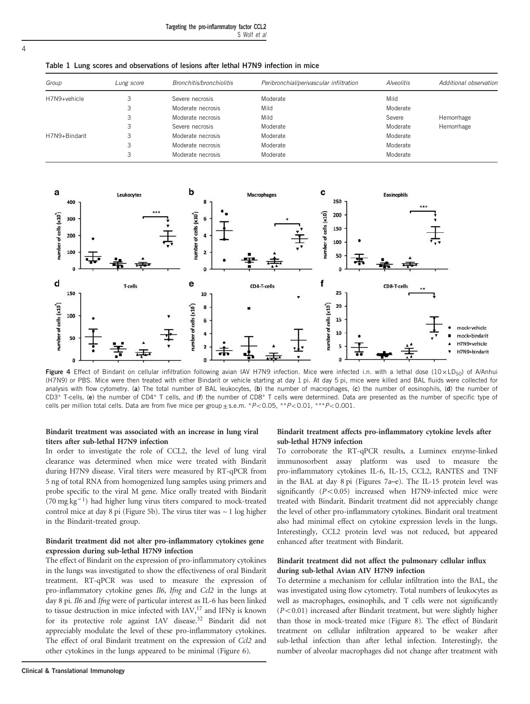Targeting the pro-inflammatory factor CCL2 S Wolf et al

Table 1 Lung scores and observations of lesions after lethal H7N9 infection in mice

| Group         | Lung score | Bronchitis/bronchiolitis | Peribronchial/perivascular infiltration | <b>Alveolitis</b> | Additional observation |
|---------------|------------|--------------------------|-----------------------------------------|-------------------|------------------------|
| H7N9+vehicle  |            | Severe necrosis          | Moderate                                | Mild              |                        |
|               |            | Moderate necrosis        | Mild                                    | Moderate          |                        |
|               | 3          | Moderate necrosis        | Mild                                    | Severe            | Hemorrhage             |
|               |            | Severe necrosis          | Moderate                                | Moderate          | Hemorrhage             |
| H7N9+Bindarit |            | Moderate necrosis        | Moderate                                | Moderate          |                        |
|               | 3          | Moderate necrosis        | Moderate                                | Moderate          |                        |
|               |            | Moderate necrosis        | Moderate                                | Moderate          |                        |



Figure 4 Effect of Bindarit on cellular infiltration following avian IAV H7N9 infection. Mice were infected i.n. with a lethal dose ( $10 \times L D_{50}$ ) of A/Anhui (H7N9) or PBS. Mice were then treated with either Bindarit or vehicle starting at day 1 pi. At day 5 pi, mice were killed and BAL fluids were collected for analysis with flow cytometry. (a) The total number of BAL leukocytes, (b) the number of macrophages, (c) the number of eosinophils, (d) the number of CD3<sup>+</sup> T-cells, (e) the number of CD4<sup>+</sup> T cells, and (f) the number of CD8<sup>+</sup> T cells were determined. Data are presented as the number of specific type of cells per million total cells. Data are from five mice per group  $\pm$  s.e.m. \*P<0.05, \*\*P<0.01, \*\*\*P<0.001.

#### Bindarit treatment was associated with an increase in lung viral titers after sub-lethal H7N9 infection

In order to investigate the role of CCL2, the level of lung viral clearance was determined when mice were treated with Bindarit during H7N9 disease. Viral titers were measured by RT-qPCR from 5 ng of total RNA from homogenized lung samples using primers and probe specific to the viral M gene. Mice orally treated with Bindarit (70 mg kg<sup>−</sup> <sup>1</sup> ) had higher lung virus titers compared to mock-treated control mice at day 8 pi (Figure 5b). The virus titer was  $\sim$  1 log higher in the Bindarit-treated group.

# Bindarit treatment did not alter pro-inflammatory cytokines gene expression during sub-lethal H7N9 infection

The effect of Bindarit on the expression of pro-inflammatory cytokines in the lungs was investigated to show the effectiveness of oral Bindarit treatment. RT-qPCR was used to measure the expression of pro-inflammatory cytokine genes Il6, Ifng and Ccl2 in the lungs at day 8 pi. Il6 and Ifng were of particular interest as IL-6 has been linked to tissue destruction in mice infected with IAV,<sup>17</sup> and IFN $\gamma$  is known for its protective role against IAV disease.<sup>32</sup> Bindarit did not appreciably modulate the level of these pro-inflammatory cytokines. The effect of oral Bindarit treatment on the expression of Ccl2 and other cytokines in the lungs appeared to be minimal (Figure 6).

#### Bindarit treatment affects pro-inflammatory cytokine levels after sub-lethal H7N9 infection

To corroborate the RT-qPCR results, a Luminex enzyme-linked immunosorbent assay platform was used to measure the pro-inflammatory cytokines IL-6, IL-15, CCL2, RANTES and TNF in the BAL at day 8 pi (Figures 7a–e). The IL-15 protein level was significantly  $(P<0.05)$  increased when H7N9-infected mice were treated with Bindarit. Bindarit treatment did not appreciably change the level of other pro-inflammatory cytokines. Bindarit oral treatment also had minimal effect on cytokine expression levels in the lungs. Interestingly, CCL2 protein level was not reduced, but appeared enhanced after treatment with Bindarit.

### Bindarit treatment did not affect the pulmonary cellular influx during sub-lethal Avian AIV H7N9 infection

To determine a mechanism for cellular infiltration into the BAL, the was investigated using flow cytometry. Total numbers of leukocytes as well as macrophages, eosinophils, and T cells were not significantly  $(P<0.01)$  increased after Bindarit treatment, but were slightly higher than those in mock-treated mice (Figure 8). The effect of Bindarit treatment on cellular infiltration appeared to be weaker after sub-lethal infection than after lethal infection. Interestingly, the number of alveolar macrophages did not change after treatment with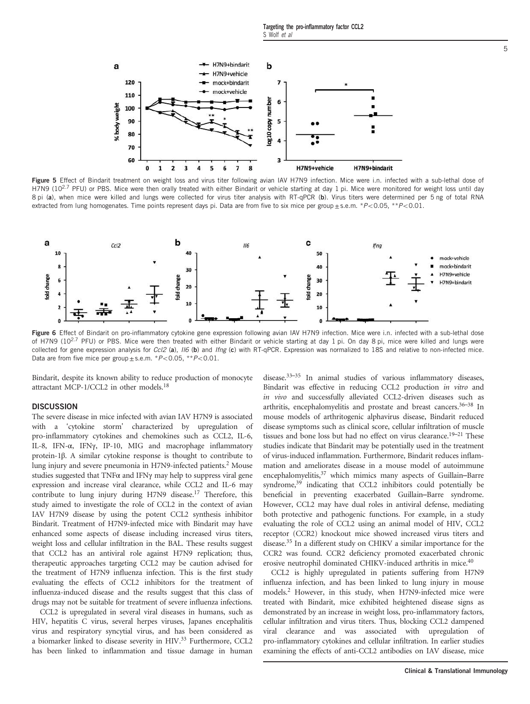

Figure 5 Effect of Bindarit treatment on weight loss and virus titer following avian IAV H7N9 infection. Mice were i.n. infected with a sub-lethal dose of H7N9 (10<sup>2.7</sup> PFU) or PBS. Mice were then orally treated with either Bindarit or vehicle starting at day 1 pi. Mice were monitored for weight loss until day 8 pi (a), when mice were killed and lungs were collected for virus titer analysis with RT-qPCR (b). Virus titers were determined per 5 ng of total RNA extracted from lung homogenates. Time points represent days pi. Data are from five to six mice per group $\pm$ s.e.m. \*P<0.05, \*\*P<0.01.



Figure 6 Effect of Bindarit on pro-inflammatory cytokine gene expression following avian IAV H7N9 infection. Mice were i.n. infected with a sub-lethal dose of H7N9 (10<sup>2.7</sup> PFU) or PBS. Mice were then treated with either Bindarit or vehicle starting at day 1 pi. On day 8 pi, mice were killed and lungs were collected for gene expression analysis for Ccl2 (a),  $I/6$  (b) and Ifng (c) with RT-qPCR. Expression was normalized to 18S and relative to non-infected mice. Data are from five mice per group  $\pm$  s.e.m. \* $P<$  0.05, \*\* $P<$  0.01.

Bindarit, despite its known ability to reduce production of monocyte attractant MCP-1/CCL2 in other models.<sup>18</sup>

# **DISCUSSION**

The severe disease in mice infected with avian IAV H7N9 is associated with a 'cytokine storm' characterized by upregulation of pro-inflammatory cytokines and chemokines such as CCL2, IL-6, IL-8, IFN-α, IFNγ, IP-10, MIG and macrophage inflammatory protein-1β. A similar cytokine response is thought to contribute to lung injury and severe pneumonia in H7N9-infected patients.<sup>2</sup> Mouse studies suggested that TNFα and IFNγ may help to suppress viral gene expression and increase viral clearance, while CCL2 and IL-6 may contribute to lung injury during H7N9 disease.<sup>17</sup> Therefore, this study aimed to investigate the role of CCL2 in the context of avian IAV H7N9 disease by using the potent CCL2 synthesis inhibitor Bindarit. Treatment of H7N9-infected mice with Bindarit may have enhanced some aspects of disease including increased virus titers, weight loss and cellular infiltration in the BAL. These results suggest that CCL2 has an antiviral role against H7N9 replication; thus, therapeutic approaches targeting CCL2 may be caution advised for the treatment of H7N9 influenza infection. This is the first study evaluating the effects of CCL2 inhibitors for the treatment of influenza-induced disease and the results suggest that this class of drugs may not be suitable for treatment of severe influenza infections.

CCL2 is upregulated in several viral diseases in humans, such as HIV, hepatitis C virus, several herpes viruses, Japanes encephalitis virus and respiratory syncytial virus, and has been considered as a biomarker linked to disease severity in HIV.<sup>33</sup> Furthermore, CCL2 has been linked to inflammation and tissue damage in human disease.33–<sup>35</sup> In animal studies of various inflammatory diseases, Bindarit was effective in reducing CCL2 production in vitro and in vivo and successfully alleviated CCL2-driven diseases such as arthritis, encephalomyelitis and prostate and breast cancers.36–<sup>38</sup> In mouse models of arthritogenic alphavirus disease, Bindarit reduced disease symptoms such as clinical score, cellular infiltration of muscle tissues and bone loss but had no effect on virus clearance.<sup>19-21</sup> These studies indicate that Bindarit may be potentially used in the treatment of virus-induced inflammation. Furthermore, Bindarit reduces inflammation and ameliorates disease in a mouse model of autoimmune encephalomyelitis,<sup>37</sup> which mimics many aspects of Guillain-Barre syndrome,<sup>39</sup> indicating that CCL2 inhibitors could potentially be beneficial in preventing exacerbated Guillain–Barre syndrome. However, CCL2 may have dual roles in antiviral defense, mediating both protective and pathogenic functions. For example, in a study evaluating the role of CCL2 using an animal model of HIV, CCL2 receptor (CCR2) knockout mice showed increased virus titers and disease.<sup>35</sup> In a different study on CHIKV a similar importance for the CCR2 was found. CCR2 deficiency promoted exacerbated chronic erosive neutrophil dominated CHIKV-induced arthritis in mice.<sup>40</sup>

CCL2 is highly upregulated in patients suffering from H7N9 influenza infection, and has been linked to lung injury in mouse models.<sup>2</sup> However, in this study, when H7N9-infected mice were treated with Bindarit, mice exhibited heightened disease signs as demonstrated by an increase in weight loss, pro-inflammatory factors, cellular infiltration and virus titers. Thus, blocking CCL2 dampened viral clearance and was associated with upregulation of pro-inflammatory cytokines and cellular infiltration. In earlier studies examining the effects of anti-CCL2 antibodies on IAV disease, mice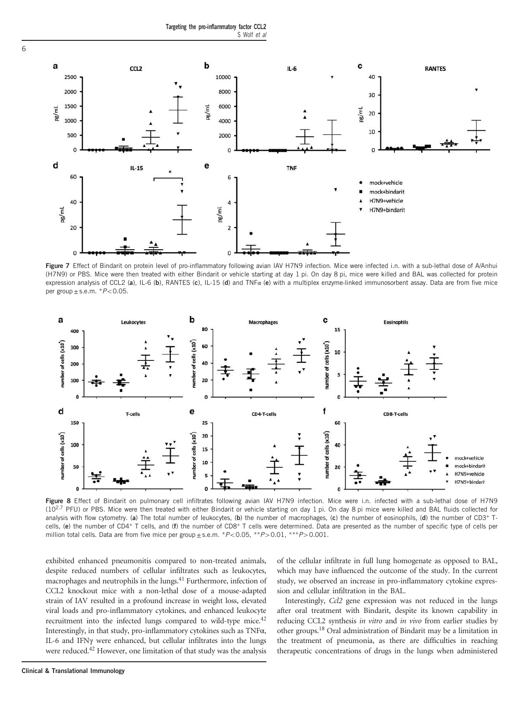

Figure 7 Effect of Bindarit on protein level of pro-inflammatory following avian IAV H7N9 infection. Mice were infected i.n. with a sub-lethal dose of A/Anhui (H7N9) or PBS. Mice were then treated with either Bindarit or vehicle starting at day 1 pi. On day 8 pi, mice were killed and BAL was collected for protein expression analysis of CCL2 (a), IL-6 (b), RANTES (c), IL-15 (d) and TNF $\alpha$  (e) with a multiplex enzyme-linked immunosorbent assay. Data are from five mice per group $\pm$ s.e.m.  $*P<0.05$ .



Figure 8 Effect of Bindarit on pulmonary cell infiltrates following avian IAV H7N9 infection. Mice were i.n. infected with a sub-lethal dose of H7N9 (10<sup>2.7</sup> PFU) or PBS. Mice were then treated with either Bindarit or vehicle starting on day 1 pi. On day 8 pi mice were killed and BAL fluids collected for analysis with flow cytometry. (a) The total number of leukocytes, (b) the number of macrophages, (c) the number of eosinophils, (d) the number of CD3<sup>+</sup> Tcells, (e) the number of CD4+ T cells, and (f) the number of CD8+ T cells were determined. Data are presented as the number of specific type of cells per million total cells. Data are from five mice per group  $\pm$  s.e.m.  $*P<0.05$ ,  $*P>0.01$ ,  $**P>0.001$ .

exhibited enhanced pneumonitis compared to non-treated animals, despite reduced numbers of cellular infiltrates such as leukocytes, macrophages and neutrophils in the lungs.<sup>41</sup> Furthermore, infection of CCL2 knockout mice with a non-lethal dose of a mouse-adapted strain of IAV resulted in a profound increase in weight loss, elevated viral loads and pro-inflammatory cytokines, and enhanced leukocyte recruitment into the infected lungs compared to wild-type mice.<sup>42</sup> Interestingly, in that study, pro-inflammatory cytokines such as TNFα, IL-6 and IFNγ were enhanced, but cellular infiltrates into the lungs were reduced.<sup>42</sup> However, one limitation of that study was the analysis of the cellular infiltrate in full lung homogenate as opposed to BAL, which may have influenced the outcome of the study. In the current study, we observed an increase in pro-inflammatory cytokine expression and cellular infiltration in the BAL.

Interestingly, Ccl2 gene expression was not reduced in the lungs after oral treatment with Bindarit, despite its known capability in reducing CCL2 synthesis in vitro and in vivo from earlier studies by other groups.<sup>18</sup> Oral administration of Bindarit may be a limitation in the treatment of pneumonia, as there are difficulties in reaching therapeutic concentrations of drugs in the lungs when administered

6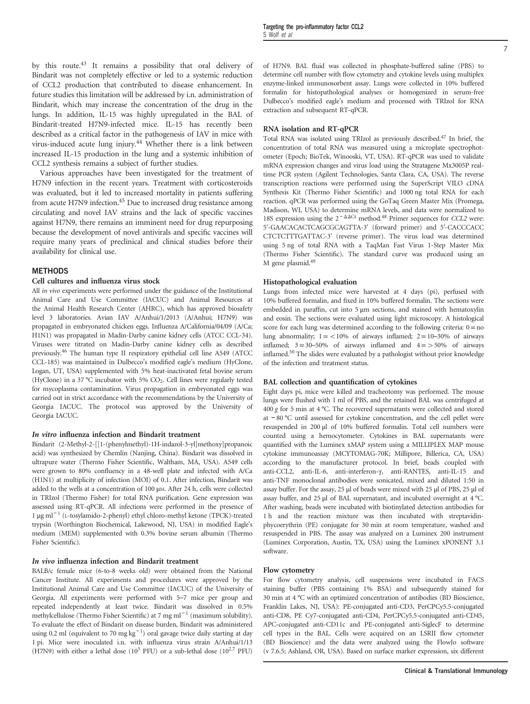by this route.<sup>43</sup> It remains a possibility that oral delivery of Bindarit was not completely effective or led to a systemic reduction of CCL2 production that contributed to disease enhancement. In future studies this limitation will be addressed by i.n. administration of Bindarit, which may increase the concentration of the drug in the lungs. In addition, IL-15 was highly upregulated in the BAL of Bindarit-treated H7N9-infected mice. IL-15 has recently been described as a critical factor in the pathogenesis of IAV in mice with virus-induced acute lung injury.<sup>44</sup> Whether there is a link between increased IL-15 production in the lung and a systemic inhibition of CCL2 synthesis remains a subject of further studies.

Various approaches have been investigated for the treatment of H7N9 infection in the recent years. Treatment with corticosteroids was evaluated, but it led to increased mortality in patients suffering from acute H7N9 infection.<sup>45</sup> Due to increased drug resistance among circulating and novel IAV strains and the lack of specific vaccines against H7N9, there remains an imminent need for drug repurposing because the development of novel antivirals and specific vaccines will require many years of preclinical and clinical studies before their availability for clinical use.

### **MFTHODS**

# Cell cultures and influenza virus stock

All in vivo experiments were performed under the guidance of the Institutional Animal Care and Use Committee (IACUC) and Animal Resources at the Animal Health Research Center (AHRC), which has approved biosafety level 3 laboratories. Avian IAV A/Anhui/1/2013 (A/Anhui; H7N9) was propagated in embryonated chicken eggs. Influenza A/California/04/09 (A/Ca; H1N1) was propagated in Madin-Darby canine kidney cells (ATCC CCL-34). Viruses were titrated on Madin-Darby canine kidney cells as described previously.<sup>46</sup> The human type II respiratory epithelial cell line A549 (ATCC CCL-185) was maintained in Dulbecco's modified eagle's medium (HyClone, Logan, UT, USA) supplemented with 5% heat-inactivated fetal bovine serum (HyClone) in a 37 °C incubator with 5%  $CO<sub>2</sub>$ . Cell lines were regularly tested for mycoplasma contamination. Virus propagation in embryonated eggs was carried out in strict accordance with the recommendations by the University of Georgia IACUC. The protocol was approved by the University of Georgia IACUC.

#### In vitro influenza infection and Bindarit treatment

Bindarit (2-Methyl-2-[[1-(phenylmethyl)-1H-indazol-3-yl]methoxy]propanoic acid) was synthesized by Chemlin (Nanjing, China). Bindarit was dissolved in ultrapure water (Thermo Fisher Scientific, Waltham, MA, USA). A549 cells were grown to 80% confluency in a 48-well plate and infected with A/Ca (H1N1) at multiplicity of infection (MOI) of 0.1. After infection, Bindarit was added to the wells at a concentration of 100 μM. After 24 h, cells were collected in TRIzol (Thermo Fisher) for total RNA purification. Gene expression was assessed using RT-qPCR. All infections were performed in the presence of 1 μg ml<sup>-1</sup> (L-tosylamido-2-phenyl) ethyl chloro-methyl ketone (TPCK)-treated trypsin (Worthington Biochemical, Lakewood, NJ, USA) in modified Eagle's medium (MEM) supplemented with 0.3% bovine serum albumin (Thermo Fisher Scientific).

#### In vivo influenza infection and Bindarit treatment

BALB/c female mice (6-to-8 weeks old) were obtained from the National Cancer Institute. All experiments and procedures were approved by the Institutional Animal Care and Use Committee (IACUC) of the University of Georgia. All experiments were performed with 5–7 mice per group and repeated independently at least twice. Bindarit was dissolved in 0.5% methylcellulose (Thermo Fisher Scientific) at 7 mg ml<sup>-1</sup> (maximum solubility). To evaluate the effect of Bindarit on disease burden, Bindarit was administered using 0.2 ml (equivalent to 70 mg kg<sup>-1</sup>) oral gavage twice daily starting at day 1 pi. Mice were inoculated i.n. with influenza virus strain A/Anhui/1/13 (H7N9) with either a lethal dose ( $10^5$  PFU) or a sub-lethal dose ( $10^{2.7}$  PFU) of H7N9. BAL fluid was collected in phosphate-buffered saline (PBS) to determine cell number with flow cytometry and cytokine levels using multiplex enzyme-linked immunosorbent assay. Lungs were collected in 10% buffered formalin for histopathological analyses or homogenized in serum-free Dulbecco's modified eagle's medium and processed with TRIzol for RNA extraction and subsequent RT-qPCR.

#### RNA isolation and RT-qPCR

Total RNA was isolated using TRIzol as previously described.<sup>47</sup> In brief, the concentration of total RNA was measured using a microplate spectrophotometer (Epoch; BioTek, Winooski, VT, USA). RT-qPCR was used to validate mRNA expression changes and virus load using the Stratagene Mx3005P realtime PCR system (Agilent Technologies, Santa Clara, CA, USA). The reverse transcription reactions were performed using the SuperScript VILO cDNA Synthesis Kit (Thermo Fisher Scientific) and 1000 ng total RNA for each reaction. qPCR was performed using the GoTaq Green Master Mix (Promega, Madison, WI, USA) to determine mRNA levels, and data were normalized to 18S expression using the  $2^{-\Delta\Delta Ct}$  method.<sup>48</sup> Primer sequences for *CCL2* were: 5′-GAACACACTCAGCGCAGTTA-3′ (forward primer) and 5′-CACCCACC CTCTCTTTGATTAC-3′ (reverse primer). The virus load was determined using 5 ng of total RNA with a TaqMan Fast Virus 1-Step Master Mix (Thermo Fisher Scientific). The standard curve was produced using an M gene plasmid.<sup>49</sup>

#### Histopathological evaluation

Lungs from infected mice were harvested at 4 days (pi), perfused with 10% buffered formalin, and fixed in 10% buffered formalin. The sections were embedded in paraffin, cut into 5 μm sections, and stained with hematoxylin and eosin. The sections were evaluated using light microscopy. A histological score for each lung was determined according to the following criteria:  $0 = no$ lung abnormality;  $1 = \langle 10\%$  of airways inflamed;  $2 = 10-30\%$  of airways inflamed;  $3=30-50%$  of airways inflamed and  $4=50%$  of airways inflamed.<sup>50</sup> The slides were evaluated by a pathologist without prior knowledge of the infection and treatment status.

#### BAL collection and quantification of cytokines

Eight days pi, mice were killed and tracheotomy was performed. The mouse lungs were flushed with 1 ml of PBS, and the retained BAL was centrifuged at 400 g for 5 min at 4 °C. The recovered supernatants were collected and stored at − 80 °C until assessed for cytokine concentration, and the cell pellet were resuspended in 200 μl of 10% buffered formalin. Total cell numbers were counted using a hemocytometer. Cytokines in BAL supernatants were quantified with the Luminex xMAP system using a MILLIPLEX MAP mouse cytokine immunoassay (MCYTOMAG-70K; Millipore, Billerica, CA, USA) according to the manufacturer protocol. In brief, beads coupled with anti-CCL2, anti-IL-6, anti-interferon-γ, anti-RANTES, anti-IL-15 and anti-TNF monoclonal antibodies were sonicated, mixed and diluted 1:50 in assay buffer. For the assay, 25 μl of beads were mixed with 25 μl of PBS, 25 μl of assay buffer, and 25 μl of BAL supernatant, and incubated overnight at 4 °C. After washing, beads were incubated with biotinylated detection antibodies for 1 h and the reaction mixture was then incubated with streptavidinphycoerythrin (PE) conjugate for 30 min at room temperature, washed and resuspended in PBS. The assay was analyzed on a Luminex 200 instrument (Luminex Corporation, Austin, TX, USA) using the Luminex xPONENT 3.1 software.

#### Flow cytometry

For flow cytometry analysis, cell suspensions were incubated in FACS staining buffer (PBS containing 1% BSA) and subsequently stained for 30 min at 4 °C with an optimized concentration of antibodies (BD Bioscience, Franklin Lakes, NJ, USA): PE-conjugated anti-CD3, PerCPCy5.5-conjugated anti-CD8, PE Cy7-conjugated anti-CD4, PerCPCy5.5-conjugated anti-CD45, APC-conjugated anti-CD11c and PE-conjugated anti-SiglecF to determine cell types in the BAL. Cells were acquired on an LSRII flow cytometer (BD Bioscience) and the data were analyzed using the FlowJo software (v 7.6.5; Ashland, OR, USA). Based on surface marker expression, six different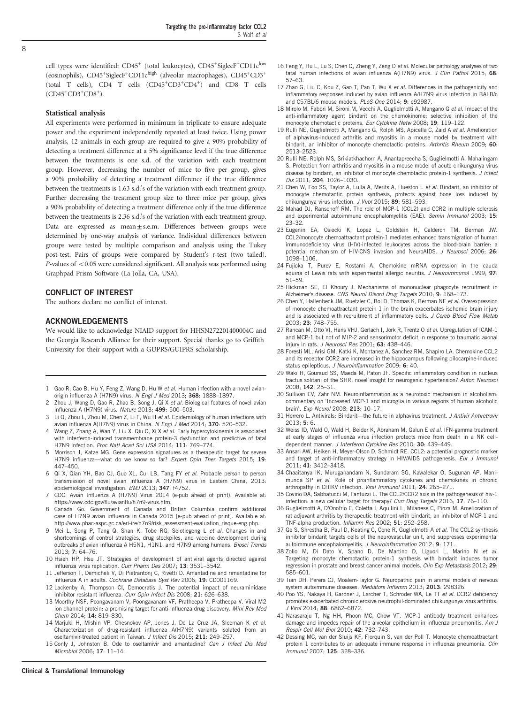cell types were identified: CD45<sup>+</sup> (total leukocytes), CD45<sup>+</sup>SiglecF<sup>+</sup>CD11c<sup>low</sup> (eosinophils),  $CD45+SizelecF+CD11c^{high}$  (alveolar macrophages),  $CD45+CD3+$ (total T cells), CD4 T cells (CD45+CD3+CD4+) and CD8 T cells (CD45+CD3+CD8<sup>+</sup> ).

#### Statistical analysis

All experiments were performed in minimum in triplicate to ensure adequate power and the experiment independently repeated at least twice. Using power analysis, 12 animals in each group are required to give a 90% probability of detecting a treatment difference at a 5% significance level if the true difference between the treatments is one s.d. of the variation with each treatment group. However, decreasing the number of mice to five per group, gives a 90% probability of detecting a treatment difference if the true difference between the treatments is 1.63 s.d.'s of the variation with each treatment group. Further decreasing the treatment group size to three mice per group, gives a 90% probability of detecting a treatment difference only if the true difference between the treatments is 2.36 s.d.'s of the variation with each treatment group. Data are expressed as mean±s.e.m. Differences between groups were determined by one-way analysis of variance. Individual differences between groups were tested by multiple comparison and analysis using the Tukey post-test. Pairs of groups were compared by Student's t-test (two tailed).  $P$ -values of  $<$  0.05 were considered significant. All analysis was performed using Graphpad Prism Software (La Jolla, CA, USA).

#### CONFLICT OF INTEREST

The authors declare no conflict of interest.

#### ACKNOWLEDGEMENTS

We would like to acknowledge NIAID support for HHSN272201400004C and the Georgia Research Alliance for their support. Special thanks go to Griffith University for their support with a GUPRS/GUIPRS scholarship.

- 1 Gao R, Cao B, Hu Y, Feng Z, Wang D, Hu W et al. Human infection with a novel avianorigin influenza A (H7N9) virus. N Engl J Med 2013; 368: 1888-1897.
- Zhou J, Wang D, Gao R, Zhao B, Song J, Qi X et al. Biological features of novel avian influenza A (H7N9) virus. Nature 2013; 499: 500–503.
- 3 Li Q, Zhou L, Zhou M, Chen Z, Li F, Wu H et al. Epidemiology of human infections with avian influenza A(H7N9) virus in China. N Engl J Med 2014; 370: 520-532.
- 4 Wang Z, Zhang A, Wan Y, Liu X, Qiu C, Xi X et al. Early hypercytokinemia is associated with interferon-induced transmembrane protein-3 dysfunction and predictive of fatal H7N9 infection. Proc Natl Acad Sci USA 2014: 111: 769-774.
- 5 Morrison J, Katze MG. Gene expression signatures as a therapeutic target for severe H7N9 influenza—what do we know so far? Expert Opin Ther Targets 2015; 19: 447–450.
- 6 Qi X, Qian YH, Bao CJ, Guo XL, Cui LB, Tang FY et al. Probable person to person transmission of novel avian influenza A (H7N9) virus in Eastern China, 2013: epidemiological investigation. BMJ 2013; 347: f4752.
- CDC. Avian Influenza A (H7N9) Virus 2014 (e-pub ahead of print). Available at: https://www.cdc.gov/flu/avianflu/h7n9-virus.htm.
- 8 Canada Go. Government of Canada and British Columbia confirm additional case of H7N9 avian influenza in Canada 2015 [e-pub ahead of print]. Available at: http://www.phac-aspc.gc.ca/eri-ire/h7n9/risk\_assessment-evaluation\_risque-eng.php.
- 9 Mei L, Song P, Tang Q, Shan K, Tobe RG, Selotlegeng L et al. Changes in and shortcomings of control strategies, drug stockpiles, and vaccine development during outbreaks of avian influenza A H5N1, H1N1, and H7N9 among humans. Biosci Trends 2013; 7: 64–76.
- 10 Hsieh HP, Hsu JT. Strategies of development of antiviral agents directed against influenza virus replication. Curr Pharm Des 2007; 13: 3531–3542.
- 11 Jefferson T, Demicheli V, Di Pietrantonj C, Rivetti D. Amantadine and rimantadine for influenza A in adults. Cochrane Database Syst Rev 2006: 19: CD001169.
- 12 Lackenby A, Thompson CI, Democratis J. The potential impact of neuraminidase inhibitor resistant influenza. Curr Opin Infect Dis 2008: 21: 626–638.
- 13 Moorthy NSF, Poongavanam V, Poongavanam VF, Pratheepa V, Pratheepa V. Viral M2 ion channel protein: a promising target for anti-influenza drug discovery. Mini Rev Med Chem 2014; 14: 819–830.
- 14 Marjuki H, Mishin VP, Chesnokov AP, Jones J, De La Cruz JA, Sleeman K et al. Characterization of drug-resistant influenza A(H7N9) variants isolated from an oseltamivir-treated patient in Taiwan. J Infect Dis 2015; 211: 249-257.
- 15 Conly J, Johnston B. Ode to oseltamivir and amantadine? Can J Infect Dis Med Microbiol 2006; 17: 11–14.
- 16 Feng Y, Hu L, Lu S, Chen Q, Zheng Y, Zeng D et al. Molecular pathology analyses of two fatal human infections of avian influenza A(H7N9) virus. J Clin Pathol 2015: 68: 57–63.
- 17 Zhao G, Liu C, Kou Z, Gao T, Pan T, Wu X et al. Differences in the pathogenicity and inflammatory responses induced by avian influenza A/H7N9 virus infection in BALB/c and C57BL/6 mouse models. PLoS One 2014: 9: e92987.
- 18 Mirolo M, Fabbri M, Sironi M, Vecchi A, Guglielmotti A, Mangano G et al. Impact of the anti-inflammatory agent bindarit on the chemokinome: selective inhibition of the monocyte chemotactic proteins. Eur Cytokine Netw 2008; 19: 119-122.
- 19 Rulli NE, Guglielmotti A, Mangano G, Rolph MS, Apicella C, Zaid A et al. Amelioration of alphavirus-induced arthritis and myositis in a mouse model by treatment with bindarit, an inhibitor of monocyte chemotactic proteins. Arthritis Rheum 2009; 60: 2513–2523.
- 20 Rulli NE, Rolph MS, Srikiatkhachorn A, Anantapreecha S, Guglielmotti A, Mahalingam S. Protection from arthritis and myositis in a mouse model of acute chikungunya virus disease by bindarit, an inhibitor of monocyte chemotactic protein-1 synthesis. J Infect Dis 2011; 204: 1026–1030.
- 21 Chen W, Foo SS, Taylor A, Lulla A, Merits A, Hueston L et al. Bindarit, an inhibitor of monocyte chemotactic protein synthesis, protects against bone loss induced by chikungunya virus infection. J Virol 2015; 89: 581-593.
- 22 Mahad DJ, Ransohoff RM. The role of MCP-1 (CCL2) and CCR2 in multiple sclerosis and experimental autoimmune encephalomyelitis (EAE). Semin Immunol 2003; 15: 23–32.
- 23 Eugenin EA, Osiecki K, Lopez L, Goldstein H, Calderon TM, Berman JW. CCL2/monocyte chemoattractant protein-1 mediates enhanced transmigration of human immunodeficiency virus (HIV)-infected leukocytes across the blood-brain barrier: a potential mechanism of HIV-CNS invasion and NeuroAIDS. J Neurosci 2006; 26: 1098–1106.
- 24 Fujioka T, Purev E, Rostami A. Chemokine mRNA expression in the cauda equina of Lewis rats with experimental allergic neuritis. J Neuroimmunol 1999; 97: 51–59.
- 25 Hickman SE, El Khoury J. Mechanisms of mononuclear phagocyte recruitment in Alzheimer's disease. CNS Neurol Disord Drug Targets 2010; 9: 168–173.
- 26 Chen Y, Hallenbeck JM, Ruetzler C, Bol D, Thomas K, Berman NE et al. Overexpression of monocyte chemoattractant protein 1 in the brain exacerbates ischemic brain injury and is associated with recruitment of inflammatory cells. J Cereb Blood Flow Metab 2003; 23: 748–755.
- 27 Rancan M, Otto VI, Hans VHJ, Gerlach I, Jork R, Trentz O et al. Upregulation of ICAM-1 and MCP-1 but not of MIP-2 and sensorimotor deficit in response to traumatic axonal injury in rats. J Neurosci Res 2001; 63: 438-446.
- 28 Foresti ML, Arisi GM, Katki K, Montanez A, Sanchez RM, Shapiro LA. Chemokine CCL2 and its receptor CCR2 are increased in the hippocampus following pilocarpine-induced status epilepticus. J Neuroinflammation 2009; 6: 40.
- 29 Waki H, Gouraud SS, Maeda M, Paton JF. Specific inflammatory condition in nucleus tractus solitarii of the SHR: novel insight for neurogenic hypertension? Auton Neurosci 2008; 142: 25–31.
- 30 Sullivan EV, Zahr NM. Neuroinflammation as a neurotoxic mechanism in alcoholism: commentary on 'Increased MCP-1 and microglia in various regions of human alcoholic brain'. Exp Neurol 2008; 213: 10–17.
- 31 Herrero L. Antivirals: Bindarit—the future in alphavirus treatment. J Antivir Antiretrovir 2013; 5: 6.
- 32 Weiss ID, Wald O, Wald H, Beider K, Abraham M, Galun E et al. IFN-gamma treatment at early stages of influenza virus infection protects mice from death in a NK celldependent manner. J Interferon Cytokine Res 2010; 30: 439–449.
- 33 Ansari AW, Heiken H, Meyer-Olson D, Schmidt RE. CCL2: a potential prognostic marker and target of anti-inflammatory strategy in HIV/AIDS pathogenesis. Eur J Immunol 2011; 41: 3412–3418.
- 34 Chaaitanya IK, Muruganandam N, Sundaram SG, Kawalekar O, Sugunan AP, Manimunda SP et al. Role of proinflammatory cytokines and chemokines in chronic arthropathy in CHIKV infection. Viral Immunol 2011; 24: 265-271.
- 35 Covino DA, Sabbatucci M, Fantuzzi L. The CCL2/CCR2 axis in the pathogenesis of hiv-1 infection: a new cellular target for therapy? Curr Drug Targets 2016; 17: 76-110.
- 36 Guglielmotti A, D'Onofrio E, Coletta I, Aquilini L, Milanese C, Pinza M. Amelioration of rat adjuvant arthritis by therapeutic treatment with bindarit, an inhibitor of MCP-1 and TNF-alpha production. Inflamm Res 2002; 51: 252–258.
- 37 Ge S, Shrestha B, Paul D, Keating C, Cone R, Guglielmotti A et al. The CCL2 synthesis inhibitor bindarit targets cells of the neurovascular unit, and suppresses experimental autoimmune encephalomyelitis. J Neuroinflammation 2012; 9: 171.
- 38 Zollo M, Di Dato V, Spano D, De Martino D, Liguori L, Marino N et al. Targeting monocyte chemotactic protein-1 synthesis with bindarit induces tumor regression in prostate and breast cancer animal models. Clin Exp Metastasis 2012; 29: 585–601.
- 39 Tian DH, Perera CJ, Moalem-Taylor G. Neuropathic pain in animal models of nervous system autoimmune diseases. Mediators Inflamm 2013: 2013: 298326
- 40 Poo YS, Nakaya H, Gardner J, Larcher T, Schroder WA, Le TT et al. CCR2 deficiency promotes exacerbated chronic erosive neutrophil-dominated chikungunya virus arthritis. J Virol 2014; 88: 6862–6872.
- 41 Narasaraju T, Ng HH, Phoon MC, Chow VT. MCP-1 antibody treatment enhances damage and impedes repair of the alveolar epithelium in influenza pneumonitis. Am J Respir Cell Mol Biol 2010; 42: 732–743.
- 42 Dessing MC, van der Sluijs KF, Florquin S, van der Poll T. Monocyte chemoattractant protein 1 contributes to an adequate immune response in influenza pneumonia. Clin Immunol 2007; 125: 328–336.